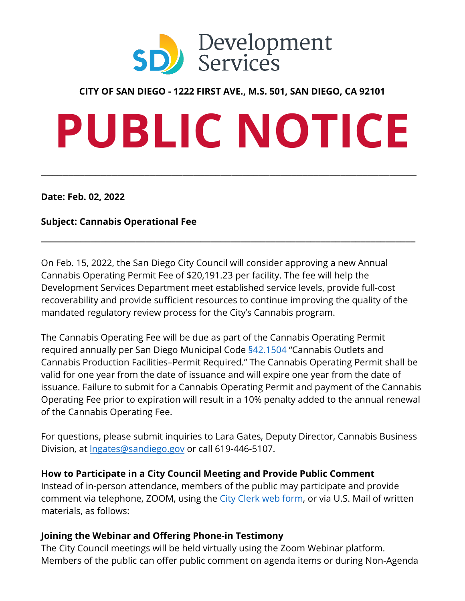

#### **CITY OF SAN DIEGO - 1222 FIRST AVE., M.S. 501, SAN DIEGO, CA 92101**

# **PUBLIC NOTICE**

\_\_\_\_\_\_\_\_\_\_\_\_\_\_\_\_\_\_\_\_\_\_\_\_\_\_\_\_\_\_\_\_\_\_\_\_\_\_\_\_\_\_\_\_\_\_\_\_\_\_\_\_\_\_\_\_\_\_\_\_\_\_\_\_\_\_\_\_\_

**Date: Feb. 02, 2022**

#### **Subject: Cannabis Operational Fee**

On Feb. 15, 2022, the San Diego City Council will consider approving a new Annual Cannabis Operating Permit Fee of \$20,191.23 per facility. The fee will help the Development Services Department meet established service levels, provide full-cost recoverability and provide sufficient resources to continue improving the quality of the mandated regulatory review process for the City's Cannabis program.

**\_\_\_\_\_\_\_\_\_\_\_\_\_\_\_\_\_\_\_\_\_\_\_\_\_\_\_\_\_\_\_\_\_\_\_\_\_\_\_\_\_\_\_\_\_\_\_\_\_\_\_\_\_\_\_\_\_\_\_\_\_\_\_\_\_\_\_\_\_\_\_\_\_\_\_**

The Cannabis Operating Fee will be due as part of the Cannabis Operating Permit required annually per San Diego Municipal Code [§42.1504](https://docs.sandiego.gov/municode/MuniCodeChapter04/Ch04Art02Division15.pdf#page=3) "Cannabis Outlets and Cannabis Production Facilities–Permit Required." The Cannabis Operating Permit shall be valid for one year from the date of issuance and will expire one year from the date of issuance. Failure to submit for a Cannabis Operating Permit and payment of the Cannabis Operating Fee prior to expiration will result in a 10% penalty added to the annual renewal of the Cannabis Operating Fee.

For questions, please submit inquiries to Lara Gates, Deputy Director, Cannabis Business Division, at **Ingates@sandiego.gov** or call 619-446-5107.

#### **How to Participate in a City Council Meeting and Provide Public Comment**

Instead of in-person attendance, members of the public may participate and provide comment via telephone, ZOOM, using the [City Clerk web form,](https://www.sandiego.gov/city-clerk/agenda-comment-form) or via U.S. Mail of written materials, as follows:

#### **Joining the Webinar and Offering Phone-in Testimony**

The City Council meetings will be held virtually using the Zoom Webinar platform. Members of the public can offer public comment on agenda items or during Non-Agenda